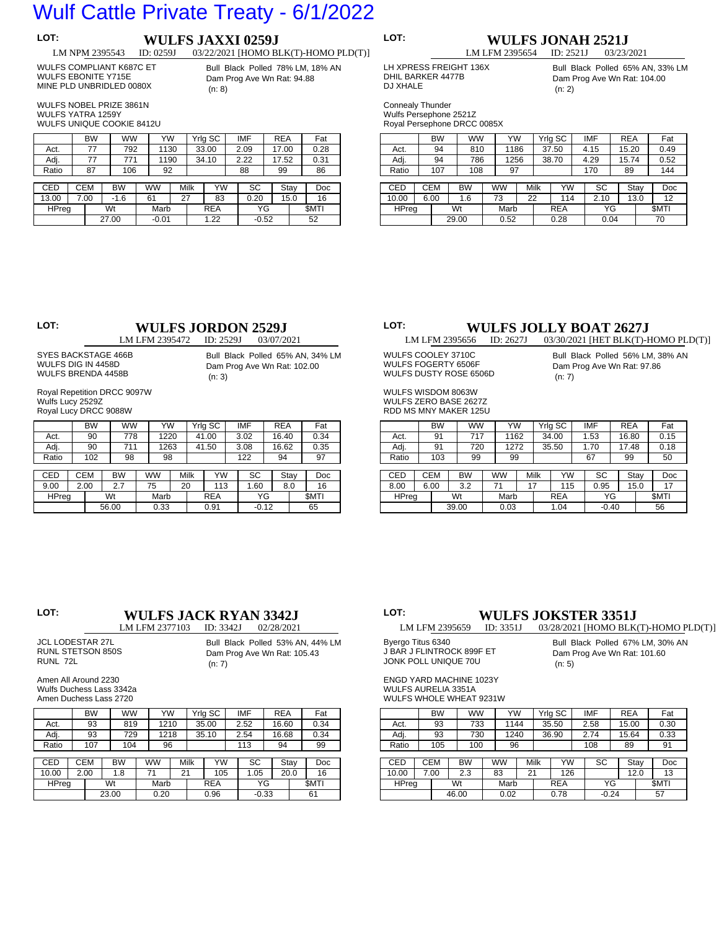## Wulf Cattle Private Treaty - 6/1/2022

## **LOT: WULFS JAXXI 0259J**<br> **LM NPM 2395543 ID: 0259J** 03/22/2021 [HOMO B] 03/22/2021 [HOMO BLK(T)-HOMO PLD(T)]

### WULFS COMPLIANT K687C ET WULFS EBONITE Y715E

Bull Black Polled 78% LM, 18% AN Dam Prog Ave Wn Rat: 94.88 (n: 8)

 WULFS NOBEL PRIZE 3861N WULFS YATRA 1259Y

 WULFS UNIQUE COOKIE 8412U

 MINE PLD UNBRIDLED 0080X

|            | <b>BW</b>  |           | <b>WW</b> | YW        |  |      | Yrlg SC    |  | <b>IMF</b> | <b>REA</b> |      | Fat         |
|------------|------------|-----------|-----------|-----------|--|------|------------|--|------------|------------|------|-------------|
| Act.       | 77         |           | 792       | 1130      |  |      | 33.00      |  | 2.09       | 17.00      |      | 0.28        |
| Adj.       | 77         |           | 771       | 1190      |  |      | 34.10      |  | 2.22       | 17.52      |      | 0.31        |
| Ratio      | 87         |           | 106       | 92        |  |      |            |  | 88         | 99         |      | 86          |
|            |            |           |           |           |  |      |            |  |            |            |      |             |
| <b>CED</b> | <b>CEM</b> | <b>BW</b> |           | <b>WW</b> |  | Milk | YW         |  | SC         |            | Stay | Doc         |
| 13.00      | 7.00       | $-1.6$    |           | 61        |  | 27   | 83         |  | 0.20       |            | 15.0 | 16          |
| HPreg      |            | Wt        |           | Marb      |  |      | <b>REA</b> |  | ΥG         |            |      | <b>SMTI</b> |
|            |            | 27.00     |           | $-0.01$   |  |      | 1.22       |  | $-0.52$    |            |      | 52          |

## **LOT: WULFS JONAH 2521J**<br> **LM LFM 2395654 ID: 2521J** 03/23/2021 LM LFM 2395654

 LH XPRESS FREIGHT 136X DHIL BARKER 4477B

Bull Black Polled 65% AN, 33% LM Dam Prog Ave Wn Rat: 104.00 (n: 2)

 Connealy Thunder Wulfs Persephone 2521Z Royal Persephone DRCC 0085X

 DJ XHALE

|       | <b>BW</b>  |    | <b>WW</b> |  | YW   |      |      | Yrig SC    |  | <b>IMF</b> | <b>REA</b> |      | Fat         |
|-------|------------|----|-----------|--|------|------|------|------------|--|------------|------------|------|-------------|
| Act.  | 94         |    | 810       |  | 1186 |      |      | 37.50      |  | 4.15       | 15.20      |      | 0.49        |
| Adj.  | 94         |    | 786       |  | 1256 |      |      | 38.70      |  | 4.29       | 15.74      |      | 0.52        |
| Ratio | 107        |    | 108       |  | 97   |      |      |            |  | 170        | 89         |      | 144         |
|       |            |    |           |  |      |      |      |            |  |            |            |      |             |
| CED   | <b>CEM</b> |    | <b>BW</b> |  | ww   |      | Milk | YW         |  | SC         |            | Stay | Doc         |
| 10.00 | 6.00       |    | 1.6       |  | 73   | 22   |      | 114        |  | 2.10       |            | 13.0 | 12          |
| HPreg |            | Wt |           |  | Marb |      |      | <b>REA</b> |  | ΥG         |            |      | <b>SMTI</b> |
|       |            |    | 29.00     |  |      | 0.52 |      | 0.28       |  | 0.04       |            |      | 70          |

# **LOT: WULFS JORDON 2529J**<br>
LM LFM 2395472 **ID:** 2529J 03/07/2021

LM LFM 2395472

 SYES BACKSTAGE 466B WULFS DIG IN 4458D WULFS BRENDA 4458B

Bull Black Polled 65% AN, 34% LM Dam Prog Ave Wn Rat: 102.00 (n: 3)

 Royal Repetition DRCC 9097W Wulfs Lucy 2529Z Royal Lucy DRCC 9088W

|            | <b>BW</b>  | <b>WW</b> |           | YW   |    |      | Yrig SC    |      | <b>IMF</b> | <b>REA</b> |      | Fat         |
|------------|------------|-----------|-----------|------|----|------|------------|------|------------|------------|------|-------------|
| Act.       | 90         | 778       |           | 1220 |    |      | 41.00      |      | 3.02       | 16.40      |      | 0.34        |
| Adj.       | 90         | 711       |           | 1263 |    |      | 41.50      |      | 3.08       | 16.62      |      | 0.35        |
| Ratio      | 102        |           | 98        |      | 98 |      |            |      | 122        | 94         |      | 97          |
|            |            |           |           |      |    |      |            |      |            |            |      |             |
| <b>CED</b> | <b>CEM</b> | <b>BW</b> | <b>WW</b> |      |    | Milk | YW         |      | SC         |            | Stay | Doc         |
| 9.00       | 2.00       | 2.7       | 75        |      | 20 | 113  |            | 1.60 |            |            | 8.0  | 16          |
| HPreg      |            | Wt        |           | Marb |    |      | <b>REA</b> |      | ΥG         |            |      | <b>SMTI</b> |
|            |            | 56.00     |           | 0.33 |    |      | 0.91       |      | $-0.12$    |            |      | 65          |

# **LOT: WULFS JOLLY BOAT 2627J**<br>
LM LFM 2395656 **ID:** 2627J 03/30/2021 [HET BLK(T)-I

03/30/2021 [HET BLK(T)-HOMO PLD(T)] WULFS COOLEY 3710C

WULFS FOGERTY 6506F WULFS DUSTY ROSE 6506D

WULFS WISDOM 8063W WULFS ZERO BASE 2627Z RDD MS MNY MAKER 125U Bull Black Polled 56% LM, 38% AN Dam Prog Ave Wn Rat: 97.86 (n: 7)

|              |            | <b>BW</b> |    | <b>WW</b> |      | YW   |  |      | Yrig SC    |  | IMF     | <b>REA</b> |             | Fat  |  |
|--------------|------------|-----------|----|-----------|------|------|--|------|------------|--|---------|------------|-------------|------|--|
| Act.         |            | 91        |    | 717       |      | 1162 |  |      | 34.00      |  | 1.53    | 16.80      |             | 0.15 |  |
| Adj.         |            | 91        |    | 720       | 1272 |      |  |      | 35.50      |  | 1.70    | 17.48      |             | 0.18 |  |
| Ratio        |            | 103       |    | 99        |      | 99   |  |      |            |  | 67      | 99         |             | 50   |  |
|              |            |           |    |           |      |      |  |      |            |  |         |            |             |      |  |
| CED          | <b>CEM</b> |           |    | <b>BW</b> |      | WW   |  | Milk | YW         |  | SC      |            | Stay        | Doc  |  |
| 8.00         | 6.00       |           |    | 3.2       |      | 71   |  | 17   | 115        |  | 0.95    |            | 15.0        | 17   |  |
| <b>HPreg</b> |            |           | Wt |           |      | Marb |  |      | <b>REA</b> |  | ΥG      |            | <b>SMTI</b> |      |  |
|              |            |           |    | 39.00     |      | 0.03 |  | 1.04 |            |  | $-0.40$ |            |             | 56   |  |

## **LOT: WULFS JACK RYAN 3342J**<br> **LM LFM 2377103 ID: 3342J** 02/28/2021

LM LFM 2377103

| <b>JCL LODESTAR 27L</b> |  |
|-------------------------|--|
| RUNL STETSON 850S       |  |
| RUNL 72L                |  |

Bull Black Polled 53% AN, 44% LM Dam Prog Ave Wn Rat: 105.43 (n: 7)

 Amen All Around 2230 Wulfs Duchess Lass 3342a Amen Duchess Lass 2720

BW WW YW Yrlg SC IMF REA Fat Act. | 93 | 819 | 1210 | 35.00 | 2.52 | 16.60 | 0.34 Adj. 93 729 1218 35.10 2.54 16.68 0.34 Ratio | 107 | 104 | 96 | | 113 | 94 | 99 CED | CEM | BW | WW | Milk | YW | SC | Stay | Doc 10.00 | 2.00 | 1.8 | 71 | 21 | 105 | 1.05 | 20.0 | 16 HPreg | Wt | Marb | REA | YG | \$MTI 23.00 0.20 0.96 -0.33 61

# **LOT: WULFS JOKSTER 3351J**<br>LM LFM 2395659 **ID:** 3351J 03/28/2021 [HOMO BLK

03/28/2021 [HOMO BLK(T)-HOMO PLD(T)]

 Byergo Titus 6340 J BAR J FLINTROCK 899F ET JONK POLL UNIQUE 70U

Bull Black Polled 67% LM, 30% AN Dam Prog Ave Wn Rat: 101.60 (n: 5)

 ENGD YARD MACHINE 1023Y WULFS AURELIA 3351A

 WULFS WHOLE WHEAT 9231W

|              | <b>BW</b> | ww        | YW   |    |      | Yrig SC    | IMF     | <b>REA</b> |      | Fat         |
|--------------|-----------|-----------|------|----|------|------------|---------|------------|------|-------------|
| Act.         | 93        | 733       | 1144 |    |      | 35.50      | 2.58    | 15.00      |      | 0.30        |
| Adj.         | 93        | 730       | 1240 |    |      | 36.90      | 2.74    | 15.64      |      | 0.33        |
| Ratio        | 105       | 100       | 96   |    |      |            | 108     | 89         |      | 91          |
|              |           |           |      |    |      |            |         |            |      |             |
| CED          | CEM       | <b>BW</b> | WW   |    | Milk | YW         | SC      |            | Stay | Doc         |
| 10.00        | 7.00      | 2.3       | 83   | 21 |      | 126        |         |            | 12.0 | 13          |
| <b>HPreg</b> |           | Wt        | Marb |    |      | <b>REA</b> | ΥG      |            |      | <b>SMTI</b> |
|              |           | 46.00     | 0.02 |    |      | 0.78       | $-0.24$ |            |      | 57          |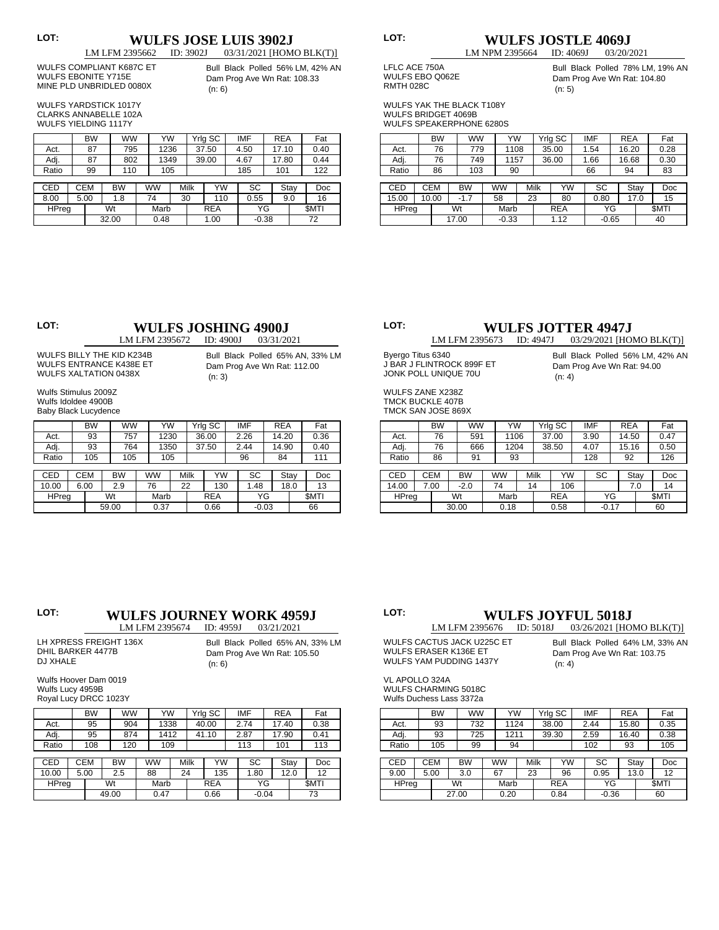# **LOT: WULFS JOSE LUIS 3902J**<br>
LM LFM 2395662 **ID:** 3902J 03/31/2021 [HOM

 WULFS COMPLIANT K687C ET WULFS EBONITE Y715E MINE PLD UNBRIDLED 0080X

03/31/2021 [HOMO BLK(T)] Bull Black Polled 56% LM, 42% AN Dam Prog Ave Wn Rat: 108.33 (n: 6)

 WULFS YARDSTICK 1017Y CLARKS ANNABELLE 102A WULFS YIELDING 1117Y

|            |       |            | BW |    | WW        |  | YW   |  |           | Yrlg SC    |     | IMF     | <b>REA</b> |      | Fat         |
|------------|-------|------------|----|----|-----------|--|------|--|-----------|------------|-----|---------|------------|------|-------------|
|            | Act.  |            | 87 |    | 795       |  | 1236 |  |           | 37.50      |     | 4.50    | 17.10      |      | 0.40        |
|            | Adj.  |            | 87 |    | 802       |  | 1349 |  |           | 39.00      |     | 4.67    | 17.80      |      | 0.44        |
|            | Ratio |            | 99 |    | 110       |  | 105  |  |           |            | 185 | 101     |            | 122  |             |
|            |       |            |    |    |           |  |      |  |           |            |     |         |            |      |             |
| <b>CED</b> |       | <b>CEM</b> |    |    | <b>BW</b> |  | ww   |  | Milk      | YW         |     | SC      |            | Stay | <b>Doc</b>  |
| 8.00       |       | 5.00       |    |    | 1.8       |  | 74   |  | 30<br>110 |            |     | 0.55    |            | 9.0  | 16          |
|            | HPreg |            |    | Wt |           |  | Marb |  |           | <b>REA</b> |     | ΥG      |            |      | <b>SMTI</b> |
|            |       |            |    |    | 32.00     |  | 0.48 |  | 1.00      |            |     | $-0.38$ |            |      | 72          |

LM NPM 2395664

# **LOT: WULFS JOSTLE 4069J**<br>
LM NPM 2395664 **ID:** 4069J 03/20/2021

 LFLC ACE 750A

WULFS EBO Q062E RMTH 028C

Bull Black Polled 78% LM, 19% AN Dam Prog Ave Wn Rat: 104.80 (n: 5)

 WULFS YAK THE BLACK T108Y WULFS BRIDGET 4069B

| <b>WULFS SPEAKERPHONE 6280S</b> |  |
|---------------------------------|--|

|              | <b>BW</b>  |       | <b>WW</b> |  | YW        |      |            | Yrig SC | <b>IMF</b> | <b>REA</b> |      | Fat         |
|--------------|------------|-------|-----------|--|-----------|------|------------|---------|------------|------------|------|-------------|
| Act.         | 76         |       | 779       |  | 1108      |      |            | 35.00   | 1.54       | 16.20      |      | 0.28        |
| Adj.         | 76         |       | 749       |  | 1157      |      |            | 36.00   | 1.66       | 16.68      |      | 0.30        |
| Ratio        | 86         |       | 103       |  | 90        |      |            |         | 66         | 94         |      | 83          |
|              |            |       |           |  |           |      |            |         |            |            |      |             |
| <b>CED</b>   | <b>CEM</b> |       | <b>BW</b> |  | <b>WW</b> | Milk |            | YW      | SC         |            | Stay | Doc         |
| 15.00        | 10.00      |       | $-1.7$    |  | 58        | 23   |            | 80      | 0.80       |            | 17.0 | 15          |
| <b>HPreg</b> |            | Wt    |           |  |           | Marb | <b>REA</b> |         | ΥG         |            |      | <b>SMTI</b> |
|              |            | 17.00 |           |  | $-0.33$   |      | 1.12       |         | $-0.65$    |            |      | 40          |

## **LOT: WULFS JOSHING 4900J**<br>
LM LFM 2395672 **ID: 4900J** 03/31/2021

LM LFM 2395672

 WULFS BILLY THE KID K234B WULFS ENTRANCE K438E ET WULFS XALTATION 0438X

Bull Black Polled 65% AN, 33% LM Dam Prog Ave Wn Rat: 112.00 (n: 3)

 Wulfs Stimulus 2009Z Wulfs Idoldee 4900B Baby Black Lucydence

|            |      | <b>BW</b>  | ww        |           | YW   |           | Yrig SC    |      | <b>IMF</b> | <b>REA</b> |      | Fat         |
|------------|------|------------|-----------|-----------|------|-----------|------------|------|------------|------------|------|-------------|
| Act.       |      | 93         | 757       |           | 1230 |           | 36.00      |      | 2.26       | 14.20      |      | 0.36        |
| Adj.       |      | 93         | 764       |           | 1350 |           | 37.50      |      | 2.44       | 14.90      |      | 0.40        |
| Ratio      |      | 105        | 105       |           | 105  |           |            |      | 96         | 84         |      | 111         |
|            |      |            |           |           |      |           |            |      |            |            |      |             |
| <b>CED</b> |      | <b>CEM</b> | <b>BW</b> | <b>WW</b> |      | Milk      | YW         |      | SC         |            | Stay | Doc         |
| 10.00      | 6.00 |            | 2.9       | 76        |      | 22<br>130 |            | 1.48 |            |            | 18.0 | 13          |
| HPreg      |      |            | Wt        |           | Marb |           | <b>REA</b> |      | ΥG         |            |      | <b>SMTI</b> |
|            |      |            | 59.00     |           | 0.37 | 0.66      |            |      |            | $-0.03$    |      | 66          |

# **LOT: WULFS JOTTER 4947J**<br>LM LFM 2395673 **ID:** 4947J 03/29/2021 [HO

03/29/2021 [HOMO BLK(T)]

(n: 4)

Bull Black Polled 56% LM, 42% AN Dam Prog Ave Wn Rat: 94.00

 Byergo Titus 6340 J BAR J FLINTROCK 899F ET JONK POLL UNIQUE 70U

WULFS ZANE X238Z TMCK BUCKLE 407B TMCK SAN JOSE 869X

|              | <b>BW</b> | <b>WW</b> |    | YW   |      |  | Yrlg SC    |      | <b>IMF</b> | <b>REA</b> |      | Fat         |
|--------------|-----------|-----------|----|------|------|--|------------|------|------------|------------|------|-------------|
| Act.         | 76        | 591       |    | 1106 |      |  | 37.00      |      | 3.90       | 14.50      |      | 0.47        |
| Adj.         | 76        | 666       |    | 1204 |      |  | 38.50      | 4.07 |            | 15.16      |      | 0.50        |
| Ratio        | 86        | 91        | 93 |      |      |  |            |      | 128        | 92         |      | 126         |
|              |           |           |    |      |      |  |            |      |            |            |      |             |
| CED          | CEM       | <b>BW</b> |    | ww   | Milk |  | YW         |      | SC         |            | Stay | Doc         |
| 14.00        | 7.00      | $-2.0$    | 74 |      | 14   |  | 106        |      |            |            | 7.0  | 14          |
| <b>HPreg</b> |           | Wt        |    |      | Marb |  | <b>REA</b> |      | ΥG         |            |      | <b>SMTI</b> |
|              |           | 30.00     |    |      | 0.18 |  | 0.58       |      | $-0.17$    |            |      | 60          |

## **LOT: WULFS JOURNEY WORK 4959J**<br>LM LFM 2395674 **ID: 4959J** 03/21/2021

LM LFM 2395674

| LH XPRESS FREIGHT 136X | Bull Black Polled 65% AN, 33% LM |
|------------------------|----------------------------------|
| DHIL BARKER 4477B      | Dam Prog Ave Wn Rat: 105.50      |
| DJ XHALE               | (n: 6)                           |

 Wulfs Hoover Dam 0019 Wulfs Lucy 4959B

|              | <b>BW</b>  | ww        | YW        |    |      | Yrlg SC    | <b>IMF</b> | <b>REA</b> |      | Fat         |
|--------------|------------|-----------|-----------|----|------|------------|------------|------------|------|-------------|
| Act.         | 95         | 904       | 1338      |    |      | 40.00      | 2.74       | 17.40      |      | 0.38        |
| Adj.         | 95         | 874       | 1412      |    |      | 41.10      | 2.87       | 17.90      |      | 0.41        |
| Ratio        | 108        | 120       | 109       |    |      |            | 113        | 101        |      | 113         |
|              |            |           |           |    |      |            |            |            |      |             |
| <b>CED</b>   | <b>CEM</b> | <b>BW</b> | <b>WW</b> |    | Milk | YW         | SC         |            | Stay | Doc         |
| 10.00        | 5.00       | 2.5       | 88        | 24 |      | 135        | 1.80       |            | 12.0 | 12          |
| <b>HPreg</b> |            | Wt        | Marb      |    |      | <b>REA</b> | ΥG         |            |      | <b>SMTI</b> |
|              |            | 49.00     | 0.47      |    |      | 0.66       | $-0.04$    |            |      | 73          |

### **LOT: WULFS JOYFUL 5018J**<br>LM LFM 2395676 **ID:** 5018J 03/26/2021 [HO 03/26/2021 [HOMO BLK(T)]

 WULFS CACTUS JACK U225C ET WULFS ERASER K136E ET WULFS YAM PUDDING 1437Y

Bull Black Polled 64% LM, 33% AN Dam Prog Ave Wn Rat: 103.75 (n: 4)

 VL APOLLO 324A WULFS CHARMING 5018C Wulfs Duchess Lass 3372a

|              |                         | <b>BW</b> | WW    | YW        |    |      | Yrlg SC    | <b>IMF</b> | <b>REA</b> |      | Fat         |
|--------------|-------------------------|-----------|-------|-----------|----|------|------------|------------|------------|------|-------------|
| Act.         |                         | 93        | 732   | 1124      |    |      | 38.00      | 2.44       | 15.80      |      | 0.35        |
| Adj.         |                         | 725<br>93 |       | 1211      |    |      | 39.30      | 2.59       | 16.40      |      | 0.38        |
| Ratio        | 105                     |           | 99    | 94        |    |      |            | 102        | 93         |      | 105         |
|              |                         |           |       |           |    |      |            |            |            |      |             |
| CED          | <b>CEM</b><br><b>BW</b> |           |       | <b>WW</b> |    | Milk | YW         | SC         |            | Stay | Doc         |
| 9.00         | 5.00<br>3.0             |           |       | 67        | 23 |      | 96         | 0.95       |            | 13.0 | 12          |
| <b>HPreg</b> |                         |           | Wt    | Marb      |    |      | <b>REA</b> | ΥG         |            |      | <b>SMTI</b> |
|              |                         |           | 27.00 | 0.20      |    |      | 0.84       | $-0.36$    |            |      | 60          |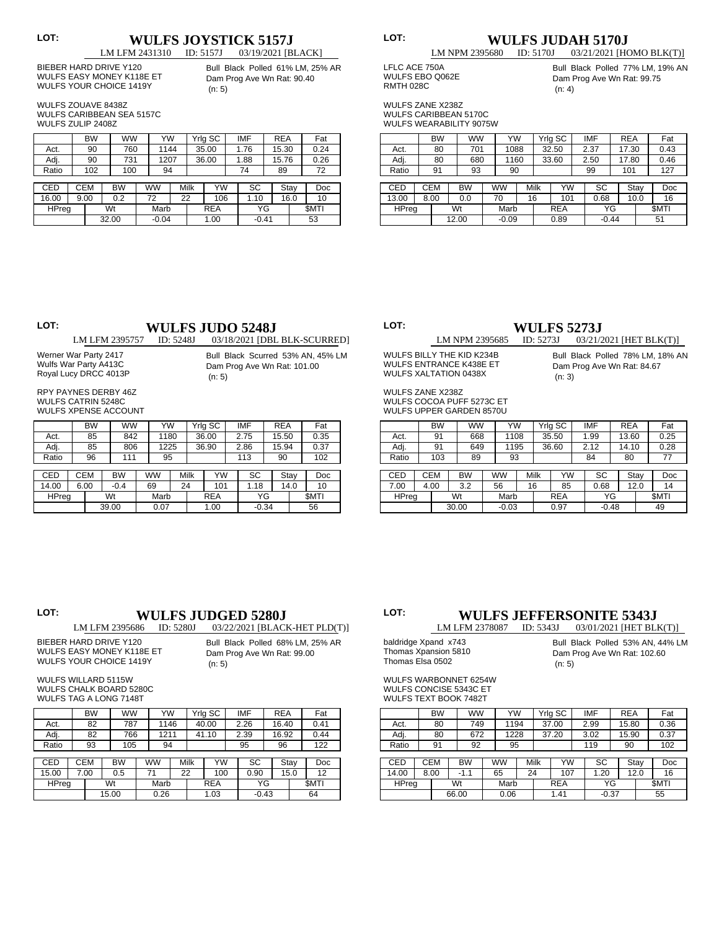# **LOT: WULFS JOYSTICK 5157J**<br> **LM LFM 2431310 ID: 5157J 03/19/2021** [B

03/19/2021 [BLACK]

 BIEBER HARD DRIVE Y120 WULFS EASY MONEY K118E ET WULFS YOUR CHOICE 1419Y

Bull Black Polled 61% LM, 25% AR Dam Prog Ave Wn Rat: 90.40 (n: 5)

 WULFS ZOUAVE 8438Z WULFS CARIBBEAN SEA 5157C WULFS ZULIP 2408Z

|            | <b>BW</b>  | <b>WW</b> | YW        |    |      | Yrlg SC    | <b>IMF</b> | <b>REA</b> |      | Fat         |
|------------|------------|-----------|-----------|----|------|------------|------------|------------|------|-------------|
| Act.       | 90         | 760       | 1144      |    |      | 35.00      | 1.76       | 15.30      |      | 0.24        |
| Adj.       | 90         | 731       | 1207      |    |      | 36.00      | 1.88       | 15.76      |      | 0.26        |
| Ratio      | 102        | 100       | 94        |    |      |            | 74         | 89         |      | 72          |
|            |            |           |           |    |      |            |            |            |      |             |
| <b>CED</b> | <b>CEM</b> | <b>BW</b> | <b>WW</b> |    | Milk | YW         | SC         |            | Stay | Doc         |
| 16.00      | 9.00       | 0.2       | 72        | 22 |      | 106        | 1.10       |            | 16.0 | 10          |
| HPreg      |            | Wt        | Marb      |    |      | <b>REA</b> | ΥG         |            |      | <b>SMTI</b> |
|            |            | 32.00     | $-0.04$   |    |      | 1.00       | $-0.41$    |            |      | 53          |

# **LOT: WULFS JUDAH 5170J**<br>
LM NPM 2395680 **ID:** 5170J 03/21/2021 [H

 LFLC ACE 750A WULFS EBO Q062E RMTH 028C

Bull Black Polled 77% LM, 19% AN Dam Prog Ave Wn Rat: 99.75 (n: 4)

03/21/2021 [HOMO BLK(T)]

 WULFS ZANE X238Z WULFS CARIBBEAN 5170C WULFS WEARABILITY 9075W

|              |      | <b>BW</b>  | <b>WW</b> | YW        |    |      | Yrig SC    | <b>IMF</b> | <b>REA</b> |      | Fat         |
|--------------|------|------------|-----------|-----------|----|------|------------|------------|------------|------|-------------|
| Act.         |      | 80         | 701       | 1088      |    |      | 32.50      | 2.37       | 17.30      |      | 0.43        |
| Adj.         |      | 80<br>680  |           | 1160      |    |      | 33.60      | 2.50       | 17.80      |      | 0.46        |
| Ratio        |      | 91         | 93        | 90        |    |      |            | 99         | 101        |      | 127         |
|              |      |            |           |           |    |      |            |            |            |      |             |
| CED          |      | <b>CEM</b> | <b>BW</b> | <b>WW</b> |    | Milk | YW         | SC         |            | Stay | Doc         |
| 13.00        | 8.00 |            | 0.0       | 70        | 16 |      | 101        | 0.68       |            | 10.0 | 16          |
| <b>HPreg</b> |      | Wt         |           | Marb      |    |      | <b>REA</b> | ΥG         |            |      | <b>SMTI</b> |
|              |      |            | 12.00     | $-0.09$   |    |      | 0.89       | $-0.44$    |            |      | 51          |
|              |      |            |           |           |    |      |            |            |            |      |             |

# **LOT: WULFS JUDO 5248J**<br> **LM LFM 2395757 ID: 5248J 03/18/2021** [DBI

03/18/2021 [DBL BLK-SCURRED]

 Werner War Party 2417 Wulfs War Party A413C Royal Lucy DRCC 4013P

Bull Black Scurred 53% AN, 45% LM Dam Prog Ave Wn Rat: 101.00 (n: 5)

 RPY PAYNES DERBY 46Z WULFS CATRIN 5248C WULFS XPENSE ACCOUNT

|            | BW         |           | <b>WW</b> | YW   |    |      | Yrig SC    | <b>IMF</b> | <b>REA</b> |      | Fat   |
|------------|------------|-----------|-----------|------|----|------|------------|------------|------------|------|-------|
| Act.       | 85         |           | 842       | 1180 |    |      | 36.00      | 2.75       | 15.50      |      | 0.35  |
| Adj.       | 85         |           | 806       | 1225 |    |      | 36.90      | 2.86       | 15.94      |      | 0.37  |
| Ratio      | 96         |           | 111       | 95   |    |      |            | 113        | 90         |      | 102   |
|            |            |           |           |      |    |      |            |            |            |      |       |
| <b>CED</b> | <b>CEM</b> | <b>BW</b> |           | ww   |    | Milk | YW         | SC         |            | Stay | Doc   |
| 14.00      | 6.00       | $-0.4$    |           | 69   | 24 |      | 101        | 1.18       |            | 14.0 | 10    |
| HPreg      |            | Wt        |           | Marb |    |      | <b>REA</b> | ΥG         |            |      | \$MTI |
|            |            | 39.00     |           | 0.07 |    |      | 1.00       | $-0.34$    |            |      | 56    |

**LOT: LM NPM 2395685 ID: 5273J CDF:** *CM NPM 2395685* **ID: 5273J CDF:** *CO21/21/2* 

 WULFS BILLY THE KID K234B WULFS ENTRANCE K438E ET WULFS XALTATION 0438X

03/21/2021 [HET BLK(T)] Bull Black Polled 78% LM, 18% AN Dam Prog Ave Wn Rat: 84.67 (n: 3)

WULFS ZANE X238Z WULFS COCOA PUFF 5273C ET WULFS UPPER GARDEN 8570U

|              |            | <b>BW</b> | ww        | YW        |      | Yrlg SC    | <b>IMF</b> | <b>REA</b> |      | Fat         |
|--------------|------------|-----------|-----------|-----------|------|------------|------------|------------|------|-------------|
| Act.         |            | 91        | 668       | 1108      |      | 35.50      | 1.99       | 13.60      |      | 0.25        |
| Adj.         |            | 91        | 649       | 1195      |      | 36.60      | 2.12       | 14.10      |      | 0.28        |
| Ratio        |            | 103       | 89        | 93        |      |            | 84         | 80         |      | 77          |
|              |            |           |           |           |      |            |            |            |      |             |
| CED          | <b>CEM</b> |           | <b>BW</b> | <b>WW</b> | Milk | YW         | SC         |            | Stay | Doc         |
| 7.00         | 4.00       |           | 3.2       | 56        | 16   | 85         | 0.68       |            | 12.0 | 14          |
| <b>HPreg</b> |            |           | Wt        | Marb      |      | <b>REA</b> | ΥG         |            |      | <b>SMTI</b> |
|              |            |           | 30.00     | $-0.03$   |      | 0.97       | $-0.48$    |            |      | 49          |

### **LOT: WULFS JUDGED 5280J**<br>
LM LFM 2395686 **ID: 5280J** 03/22/2021 [BLAC] 03/22/2021 [BLACK-HET PLD(T)]

(n: 5)

 BIEBER HARD DRIVE Y120

Bull Black Polled 68% LM, 25% AR Dam Prog Ave Wn Rat: 99.00

WULFS EASY MONEY K118E ET WULFS YOUR CHOICE 1419Y

 WULFS WILLARD 5115W WULFS CHALK BOARD 5280C WULFS TAG A LONG 7148T

|              | <b>BW</b>  |       | <b>WW</b> | YW        |    |      | Yrig SC    | <b>IMF</b> | <b>REA</b> |      | Fat         |
|--------------|------------|-------|-----------|-----------|----|------|------------|------------|------------|------|-------------|
| Act.         | 82         |       | 787       | 1146      |    |      | 40.00      | 2.26       | 16.40      |      | 0.41        |
| Adj.         | 82         |       | 766       | 1211      |    |      | 41.10      | 2.39       | 16.92      |      | 0.44        |
| Ratio        | 93         |       | 105       | 94        |    |      |            | 95         | 96         |      | 122         |
|              |            |       |           |           |    |      |            |            |            |      |             |
| <b>CED</b>   | <b>CEM</b> |       | <b>BW</b> | <b>WW</b> |    | Milk | YW         | SC         |            | Stay | Doc         |
| 15.00        | 7.00       |       | 0.5       | 71        | 22 |      | 100        | 0.90       |            | 15.0 | 12          |
| <b>HPreg</b> |            | Wt    |           | Marb      |    |      | <b>REA</b> | ΥG         |            |      | <b>SMTI</b> |
|              |            | 15.00 |           | 0.26      |    |      | 1.03       | $-0.43$    |            |      | 64          |

### **LOT: WULFS JEFFERSONITE 5343J**<br>LM LFM 2378087 **ID:** 5343J 03/01/2021 [HET BL 03/01/2021 [HET BLK(T)]

 baldridge Xpand x743 Thomas Xpansion 5810 Thomas Elsa 0502

Bull Black Polled 53% AN, 44% LM Dam Prog Ave Wn Rat: 102.60 (n: 5)

 WULFS WARBONNET 6254W WULFS CONCISE 5343C ET WULFS TEXT BOOK 7482T

|              | <b>BW</b>  | <b>WW</b> | YW        |      | Yrlg SC    | <b>IMF</b> | <b>REA</b> |      | Fat         |
|--------------|------------|-----------|-----------|------|------------|------------|------------|------|-------------|
| Act.         | 80         | 749       | 1194      |      | 37.00      | 2.99       | 15.80      |      | 0.36        |
| Adj.         | 80         | 672       | 1228      |      | 37.20      | 3.02       | 15.90      |      | 0.37        |
| Ratio        | 91         | 92        | 95        |      |            | 119        | 90         |      | 102         |
|              |            |           |           |      |            |            |            |      |             |
| CED          | <b>CEM</b> | BW        | <b>WW</b> | Milk | YW         | SC         |            | Stay | Doc         |
| 14.00        | 8.00       | $-1.1$    | 65        | 24   | 107        | 1.20       |            | 12.0 | 16          |
| <b>HPreg</b> |            | Wt        | Marb      |      | <b>REA</b> | ΥG         |            |      | <b>SMTI</b> |
|              |            | 66.00     | 0.06      |      | 1.41       | $-0.37$    |            |      | 55          |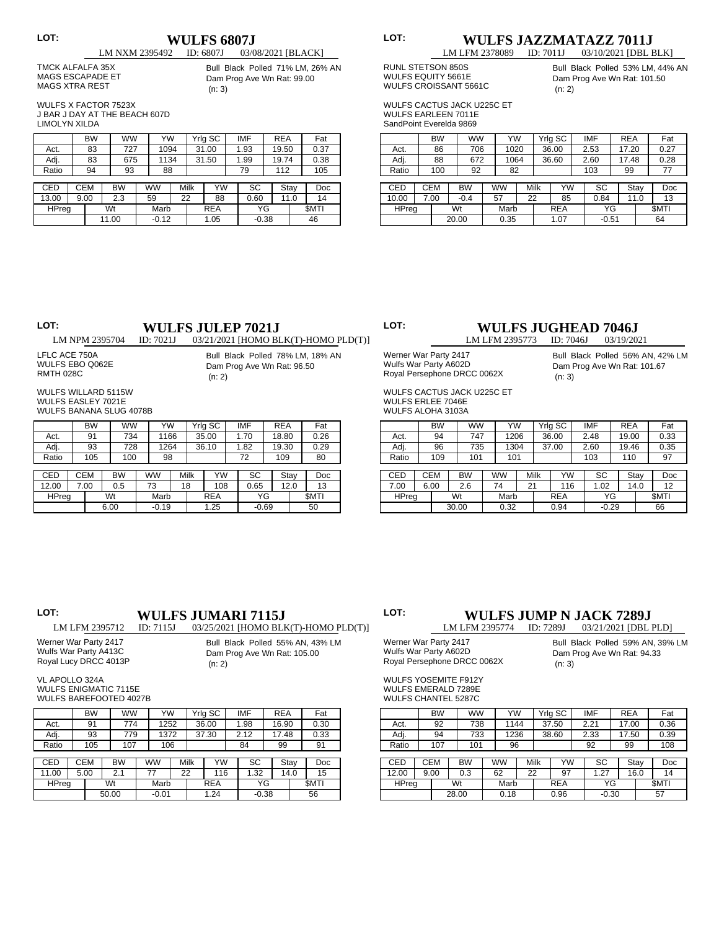# **LOT: LM NXM 2395492 ID: 6807J D203/03/03/03/03/04**

### 03/08/2021 [BLACK]

 TMCK ALFALFA 35X MAGS ESCAPADE ET MAGS XTRA REST

Bull Black Polled 71% LM, 26% AN Dam Prog Ave Wn Rat: 99.00 (n: 3)

 WULFS X FACTOR 7523X J BAR J DAY AT THE BEACH 607D LIMOLYN XILDA

|       |      | <b>BW</b>  |    | <b>WW</b> | YW      |    |      | Yrlg SC    | <b>IMF</b> | <b>REA</b> |      | Fat         |
|-------|------|------------|----|-----------|---------|----|------|------------|------------|------------|------|-------------|
| Act.  |      | 83         |    | 727       | 1094    |    |      | 31.00      | 1.93       | 19.50      |      | 0.37        |
| Adj.  |      | 83         |    | 675       | 1134    |    |      | 31.50      | 1.99       | 19.74      |      | 0.38        |
| Ratio |      | 94         |    | 93        | 88      |    |      |            | 79         | 112        |      | 105         |
|       |      |            |    |           |         |    |      |            |            |            |      |             |
| CED   |      | <b>CEM</b> |    | BW        | ww      |    | Milk | YW         | SC         |            | Stay | Doc         |
| 13.00 | 9.00 |            |    | 2.3       | 59      | 22 |      | 88         | 0.60       |            | 11.0 | 14          |
| HPreg |      |            | Wt |           | Marb    |    |      | <b>REA</b> | ΥG         |            |      | <b>SMTI</b> |
|       |      |            |    | 11.00     | $-0.12$ |    |      | 1.05       | $-0.38$    |            |      | 46          |

## **LOT: WULFS JAZZMATAZZ 7011J** LM LFM 2378089 ID: 7011J 03/10/2021 [DBL BLK]

 RUNL STETSON 850S

WULFS EQUITY 5661E

Bull Black Polled 53% LM, 44% AN Dam Prog Ave Wn Rat: 101.50 (n: 2)

 WULFS CACTUS JACK U225C ET WULFS EARLEEN 7011E

 WULFS CROISSANT 5661C

 SandPoint Everelda 9869

|              | <b>BW</b>  |    | <b>WW</b> | YW        |    |      | Yrlg SC    | <b>IMF</b> | <b>REA</b> |      | Fat         |
|--------------|------------|----|-----------|-----------|----|------|------------|------------|------------|------|-------------|
| Act.         | 86         |    | 706       | 1020      |    |      | 36.00      | 2.53       | 17.20      |      | 0.27        |
| Adj.         | 88         |    | 672       | 1064      |    |      | 36.60      | 2.60       | 17.48      |      | 0.28        |
| Ratio        | 100        |    | 92        | 82        |    |      |            | 103        | 99         |      | 77          |
|              |            |    |           |           |    |      |            |            |            |      |             |
| CED          | <b>CEM</b> |    | <b>BW</b> | <b>WW</b> |    | Milk | YW         | SC         |            | Stay | Doc         |
| 10.00        | 7.00       |    | $-0.4$    | 57        | 22 |      | 85         | 0.84       |            | 11.0 | 13          |
| <b>HPreg</b> |            | Wt |           | Marb      |    |      | <b>REA</b> | ΥG         |            |      | <b>SMTI</b> |
|              |            |    | 20.00     | 0.35      |    |      | 1.07       | $-0.51$    |            |      | 64          |

# **LOT: WULFS JULEP 7021J**<br> **LM NPM 2395704 ID:** 7021J 03/21/2021 [HOMO BI

03/21/2021 [HOMO BLK(T)-HOMO PLD(T)]

 LFLC ACE 750A WULFS EBO Q062E RMTH 028C

Bull Black Polled 78% LM, 18% AN Dam Prog Ave Wn Rat: 96.50 (n: 2)

 WULFS WILLARD 5115W WULFS EASLEY 7021E WULFS BANANA SLUG 4078B

|            | <b>BW</b> | <b>WW</b> | YW        |    |      | Yrlg SC    | <b>IMF</b> | <b>REA</b> |      | Fat         |
|------------|-----------|-----------|-----------|----|------|------------|------------|------------|------|-------------|
| Act.       | 91        | 734       | 1166      |    |      | 35.00      | 1.70       | 18.80      |      | 0.26        |
| Adj.       | 93        | 728       | 1264      |    |      | 36.10      | 1.82       | 19.30      |      | 0.29        |
| Ratio      | 105       | 100       | 98        |    |      |            | 72         | 109        |      | 80          |
|            |           |           |           |    |      |            |            |            |      |             |
| <b>CED</b> | CEM       | <b>BW</b> | <b>WW</b> |    | Milk | YW         | SC         |            | Stay | Doc         |
| 12.00      | 7.00      | 0.5       | 73        | 18 |      | 108        | 0.65       |            | 12.0 | 13          |
| HPreg      |           | Wt        | Marb      |    |      | <b>REA</b> | ΥG         |            |      | <b>SMTI</b> |
|            |           | 6.00      | $-0.19$   |    |      | 1.25       | $-0.69$    |            |      | 50          |

## **LOT: WULFS JUGHEAD 7046J**<br> **LM LFM 2395773 ID: 7046J** 03/19/2021

LM LFM 2395773 Werner War Party 2417 Wulfs War Party A602D Royal Persephone DRCC 0062X

Bull Black Polled 56% AN, 42% LM Dam Prog Ave Wn Rat: 101.67 (n: 3)

 WULFS CACTUS JACK U225C ET WULFS ERLEE 7046E WILLES ALOHA 3103A

|              | <b>BW</b>               | <b>WW</b> |    | YW   |      | Yrig SC    | <b>IMF</b> | <b>REA</b> |      | Fat         |
|--------------|-------------------------|-----------|----|------|------|------------|------------|------------|------|-------------|
| Act.         | 94                      | 747       |    | 1206 |      | 36.00      | 2.48       | 19.00      |      | 0.33        |
| Adj.         | 96                      | 735       |    | 1304 |      | 37.00      | 2.60       | 19.46      |      | 0.35        |
| Ratio        | 109                     | 101       |    | 101  |      |            | 103        | 110        |      | 97          |
|              |                         |           |    |      |      |            |            |            |      |             |
| <b>CED</b>   | <b>CEM</b><br><b>BW</b> |           | WW |      | Milk | YW         | SC         |            | Stay | Doc         |
| 7.00         | 2.6<br>6.00             |           | 74 |      | 21   | 116        | 1.02       |            | 14.0 | 12          |
| <b>HPreg</b> |                         | Wt        |    | Marb |      | <b>REA</b> | ΥG         |            |      | <b>SMTI</b> |
|              |                         | 30.00     |    | 0.32 |      | 0.94       | $-0.29$    |            |      | 66          |

### **LOT: WULFS JUMARI 7115J**<br>LM LFM 2395712 **ID:** 7115J 03/25/2021 [HOMO BLE 03/25/2021 [HOMO BLK(T)-HOMO PLD(T)]

Bull Black Polled 55% AN, 43% LM

 Werner War Party 2417 Wulfs War Party A413C Royal Lucy DRCC 4013P

Dam Prog Ave Wn Rat: 105.00 (n: 2)

Werner War Party 2417<br>Wulfs War Party A602D Wulfs War Party A602D

Bull Black Polled 59% AN, 39% LM Dam Prog Ave Wn Rat: 94.33 (n: 3)

03/21/2021 [DBL PLD]

 VL APOLLO 324A WULFS ENIGMATIC 7115E

 WULFS BAREFOOTED 4027B

|            |  | <b>BW</b>  | ww        |           | YW      |    |      | Yrig SC    |  | IMF     | <b>REA</b> |      | Fat         |
|------------|--|------------|-----------|-----------|---------|----|------|------------|--|---------|------------|------|-------------|
| Act.       |  | 91         | 774       |           | 1252    |    |      | 36.00      |  | 1.98    | 16.90      |      | 0.30        |
| Adj.       |  | 93         | 779       |           | 1372    |    |      | 37.30      |  | 2.12    | 17.48      |      | 0.33        |
| Ratio      |  | 105        | 107       |           | 106     |    |      |            |  | 84      | 99         |      | 91          |
|            |  |            |           |           |         |    |      |            |  |         |            |      |             |
| <b>CED</b> |  | <b>CEM</b> | <b>BW</b> | <b>WW</b> |         |    | Milk | YW         |  | SC      | Stay       |      | Doc         |
| 11.00      |  | 5.00       | 2.1       |           | 77      | 22 |      | 116        |  | 1.32    |            | 14.0 | 15          |
| HPreg      |  |            | Wt        |           | Marb    |    |      | <b>REA</b> |  | ΥG      |            |      | <b>SMTI</b> |
|            |  |            | 50.00     |           | $-0.01$ |    |      | 1.24       |  | $-0.38$ |            |      | 56          |

| Wulfs War Party A602D       |
|-----------------------------|
| Royal Persephone DRCC 0062X |
| WIJI ES YOSEMITE F912Y      |

WULFS EMERALD 7289E WULFS CHANTEL 5287C

|              |             | <b>BW</b>               | <b>WW</b> |  | YW        |  |      | Yrlg SC    | <b>IMF</b> | <b>REA</b> |      | Fat         |
|--------------|-------------|-------------------------|-----------|--|-----------|--|------|------------|------------|------------|------|-------------|
| Act.         |             | 92                      | 738       |  | 1144      |  |      | 37.50      | 2.21       | 17.00      |      | 0.36        |
| Adj.         |             | 94                      | 733       |  | 1236      |  |      | 38.60      | 2.33       | 17.50      |      | 0.39        |
| Ratio        |             | 107                     | 101       |  | 96        |  |      |            | 92         | 99         |      | 108         |
|              |             |                         |           |  |           |  |      |            |            |            |      |             |
| CED          |             | <b>CEM</b><br><b>BW</b> |           |  | <b>WW</b> |  | Milk | YW         | SC         |            | Stay | Doc         |
| 12.00        | 9.00<br>0.3 |                         |           |  | 62        |  | 22   | 97         | 1.27       |            | 16.0 | 14          |
| <b>HPreg</b> |             |                         | Wt        |  | Marb      |  |      | <b>REA</b> | ΥG         |            |      | <b>SMTI</b> |
|              |             |                         | 28.00     |  | 0.18      |  |      | 0.96       | $-0.30$    |            |      | 57          |

**LOT: WULFS JUMP N JACK 7289J**<br>
LM LFM 2395774 **ID:** 7289J 03/21/2021 [DBL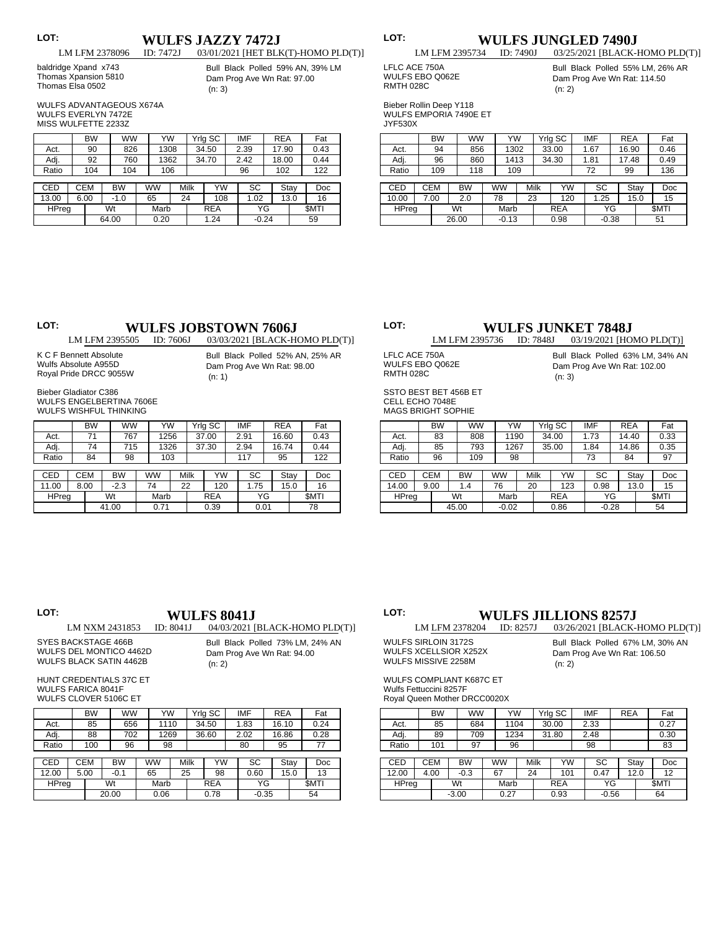# **LOT: WULFS JAZZY 7472J**<br>
LM LFM 2378096 **ID:** 7472J 03/01/2021 [HET BLI

 baldridge Xpand x743 Thomas Xpansion 5810 Thomas Elsa 0502

03/01/2021 [HET BLK(T)-HOMO PLD(T)] Bull Black Polled 59% AN, 39% LM Dam Prog Ave Wn Rat: 97.00 (n: 3)

 WULFS ADVANTAGEOUS X674A WULFS EVERLYN 7472E MISS WULFETTE 2233Z

|            |  | <b>BW</b><br><b>WW</b> |    | YW        |           |    | Yrlg SC | <b>IMF</b> | <b>REA</b> |       | Fat  |             |
|------------|--|------------------------|----|-----------|-----------|----|---------|------------|------------|-------|------|-------------|
| Act.       |  | 90                     |    | 826       | 1308      |    |         | 34.50      | 2.39       | 17.90 |      | 0.43        |
| Adj.       |  | 92                     |    | 760       | 1362      |    |         | 34.70      | 2.42       | 18.00 |      | 0.44        |
| Ratio      |  | 104                    |    | 104       | 106       |    |         |            | 96         | 102   |      | 122         |
|            |  |                        |    |           |           |    |         |            |            |       |      |             |
| <b>CED</b> |  | <b>CEM</b>             |    | <b>BW</b> | <b>WW</b> |    | Milk    | YW         | SC         |       | Stay | Doc         |
| 13.00      |  | 6.00                   |    | $-1.0$    | 65        | 24 |         | 108        | 1.02       |       | 13.0 | 16          |
| HPreg      |  |                        | Wt |           | Marb      |    |         | <b>REA</b> | ΥG         |       |      | <b>SMTI</b> |
|            |  |                        |    | 64.00     | 0.20      |    |         | 1.24       | $-0.24$    |       |      | 59          |

# **LOT: WULFS JUNGLED 7490J**<br>
LM LFM 2395734 **ID:** 7490J 03/25/2021 [BLACK-

 LFLC ACE 750A

## 03/25/2021 [BLACK-HOMO PLD(T)] Bull Black Polled 55% LM, 26% AR

Dam Prog Ave Wn Rat: 114.50 (n: 2)

 Bieber Rollin Deep Y118 WULFS EMPORIA 7490E ET JYF530X

|              | <b>BW</b>  |       | <b>WW</b> |    | YW        |            | Yrlg SC | <b>IMF</b> | <b>REA</b> |             | Fat  |
|--------------|------------|-------|-----------|----|-----------|------------|---------|------------|------------|-------------|------|
| Act.         | 94         |       | 856       |    | 1302      |            | 33.00   | 1.67       | 16.90      |             | 0.46 |
| Adj.         | 96         |       | 860       |    | 1413      |            | 34.30   | 1.81       | 17.48      |             | 0.49 |
| Ratio        | 109        |       | 118       |    | 109       |            |         | 72         | 99         |             | 136  |
|              |            |       |           |    |           |            |         |            |            |             |      |
| <b>CED</b>   | <b>CEM</b> |       | <b>BW</b> |    | <b>WW</b> | Milk       | YW      | SC         |            | Stay        | Doc  |
| 10.00        | 7.00       |       | 2.0       | 78 |           | 23         | 120     | 1.25       |            | 15.0        | 15   |
| <b>HPreg</b> | Wt         |       | Marb      |    |           | <b>REA</b> | ΥG      |            |            | <b>SMTI</b> |      |
|              |            | 26.00 |           |    | $-0.13$   |            | 0.98    | $-0.38$    |            |             | 51   |

# **LOT: WULFS JOBSTOWN 7606J**<br>LM LFM 2395505 **ID:** 7606J 03/03/2021 [BLACK-H

03/03/2021 [BLACK-HOMO PLD(T)]

 K C F Bennett Absolute Wulfs Absolute A955D Royal Pride DRCC 9055W

Bull Black Polled 52% AN, 25% AR Dam Prog Ave Wn Rat: 98.00 (n: 1)

 Bieber Gladiator C386 WULFS ENGELBERTINA 7606E WILLES WISHELL THINKING

|            |             | <b>BW</b>               |        | <b>WW</b> |           | YW   |    |            | Yrlg SC | <b>IMF</b> | <b>REA</b> |             | Fat  |
|------------|-------------|-------------------------|--------|-----------|-----------|------|----|------------|---------|------------|------------|-------------|------|
| Act.       |             | 71                      |        | 767       |           | 1256 |    |            | 37.00   | 2.91       | 16.60      |             | 0.43 |
| Adj.       |             | 74                      |        | 715       |           | 1326 |    |            | 37.30   | 2.94       | 16.74      |             | 0.44 |
| Ratio      |             | 84                      |        | 98        |           | 103  |    |            |         | 117        | 95         |             | 122  |
|            |             |                         |        |           |           |      |    |            |         |            |            |             |      |
| <b>CED</b> |             | <b>CEM</b><br><b>BW</b> |        |           | <b>WW</b> |      |    | Milk       | YW      | SC         |            | Stay        | Doc  |
| 11.00      |             | 8.00                    | $-2.3$ |           | 74        |      | 22 |            | 120     | 1.75       |            | 15.0        | 16   |
|            | HPreg<br>Wt |                         |        | Marb      |           |      |    | <b>REA</b> | ΥG      |            |            | <b>SMTI</b> |      |
|            |             |                         | 41.00  |           |           | 0.71 |    |            | 0.39    | 0.01       |            |             | 78   |

# **LOT: WULFS JUNKET 7848J**<br>
LM LFM 2395736 **ID:** 7848J 03/19/2021 [HO

 LFLC ACE 750A WULFS EBO Q062E

03/19/2021 [HOMO PLD(T)] Bull Black Polled 63% LM, 34% AN Dam Prog Ave Wn Rat: 102.00 (n: 3)

 SSTO BEST BET 456B ET CELL ECHO 7048E MAGS BRIGHT SOPHIE

 RMTH 028C

|       |            | <b>BW</b>   | ww    |           | YW      |  |             | Yrlg SC    | IMF     | <b>REA</b> |      | Fat         |
|-------|------------|-------------|-------|-----------|---------|--|-------------|------------|---------|------------|------|-------------|
| Act.  |            | 83          | 808   |           | 1190    |  |             | 34.00      | 1.73    | 14.40      |      | 0.33        |
| Adj.  |            | 85          | 793   | 1267      |         |  |             | 35.00      | 1.84    | 14.86      |      | 0.35        |
| Ratio |            | 96          | 109   |           | 98      |  |             |            | 73      | 84         |      | 97          |
|       |            |             |       |           |         |  |             |            |         |            |      |             |
| CED   | <b>CEM</b> | <b>BW</b>   |       | <b>WW</b> |         |  | <b>Milk</b> | YW         | SC      |            | Stay | Doc         |
| 14.00 |            | 9.00<br>1.4 |       |           | 76      |  | 20          | 123        | 0.98    |            | 13.0 | 15          |
| HPreg |            |             | Wt    |           | Marb    |  |             | <b>REA</b> | ΥG      |            |      | <b>SMTI</b> |
|       |            |             | 45.00 |           | $-0.02$ |  |             | 0.86       | $-0.28$ |            |      | 54          |

# **LOT: WULFS 8041J**<br>**LM NXM 2431853 ID:** 8041J **04/03/2021**

04/03/2021 [BLACK-HOMO PLD(T)]

 SYES BACKSTAGE 466B WULFS DEL MONTICO 4462D WULFS BLACK SATIN 4462B Bull Black Polled 73% LM, 24% AN Dam Prog Ave Wn Rat: 94.00 (n: 2)

 HUNT CREDENTIALS 37C ET WULFS FARICA 8041F

 WULFS CLOVER 5106C ET

|            | <b>BW</b>  | <b>WW</b> | YW        |    |      | Yrlg SC    |  | <b>IMF</b> | <b>REA</b> |      | Fat         |
|------------|------------|-----------|-----------|----|------|------------|--|------------|------------|------|-------------|
| Act.       | 85         | 656       | 1110      |    |      | 34.50      |  | 1.83       | 16.10      |      | 0.24        |
| Adj.       | 88         | 702       | 1269      |    |      | 36.60      |  | 2.02       | 16.86      |      | 0.28        |
| Ratio      | 100        | 96        | 98        |    |      |            |  | 80         | 95         |      | 77          |
|            |            |           |           |    |      |            |  |            |            |      |             |
| <b>CED</b> | <b>CEM</b> | <b>BW</b> | <b>WW</b> |    | Milk | YW         |  | SC         |            | Stay | Doc         |
| 12.00      | 5.00       | $-0.1$    | 65        | 25 |      | 98         |  | 0.60       |            | 15.0 | 13          |
| HPreg      |            | Wt        | Marb      |    |      | <b>REA</b> |  | ΥG         |            |      | <b>SMTI</b> |
|            |            | 20.00     | 0.06      |    |      | 0.78       |  | $-0.35$    |            |      | 54          |

### **LOT: WULFS JILLIONS 8257J**<br>LM LFM 2378204 **ID:** 8257J 03/26/2021 [BLACK-03/26/2021 [BLACK-HOMO PLD(T)]

 WULFS SIRLOIN 3172S WULFS XCELLSIOR X252X

Bull Black Polled 67% LM, 30% AN Dam Prog Ave Wn Rat: 106.50 (n: 2)

 WULFS COMPLIANT K687C ET Wulfs Fettuccini 8257F

 WULFS MISSIVE 2258M

 Royal Queen Mother DRCC0020X

|              |            | <b>BW</b> |           | ww        |      | YW   |    | Yrig SC    | IMF     | <b>REA</b> |      | Fat         |
|--------------|------------|-----------|-----------|-----------|------|------|----|------------|---------|------------|------|-------------|
| Act.         |            | 85        | 684       |           | 1104 |      |    | 30.00      | 2.33    |            |      | 0.27        |
| Adj.         |            | 89        | 709       |           | 1234 |      |    | 31.80      | 2.48    |            |      | 0.30        |
| Ratio        |            | 101       | 97        |           | 96   |      |    |            | 98      |            |      | 83          |
|              |            |           |           |           |      |      |    |            |         |            |      |             |
| CED          | <b>CEM</b> |           | <b>BW</b> | <b>WW</b> |      | Milk |    | YW         | SC      |            | Stay | Doc         |
| 12.00        | 4.00       |           | $-0.3$    |           | 67   |      | 24 | 101        | 0.47    |            | 12.0 | 12          |
| <b>HPreg</b> |            |           | Wt        |           | Marb |      |    | <b>REA</b> | ΥG      |            |      | <b>SMTI</b> |
|              |            |           | $-3.00$   |           | 0.27 |      |    | 0.93       | $-0.56$ |            |      | 64          |

| LOT: |       |
|------|-------|
|      | LM LF |

WULFS EBO Q062E RMTH 028C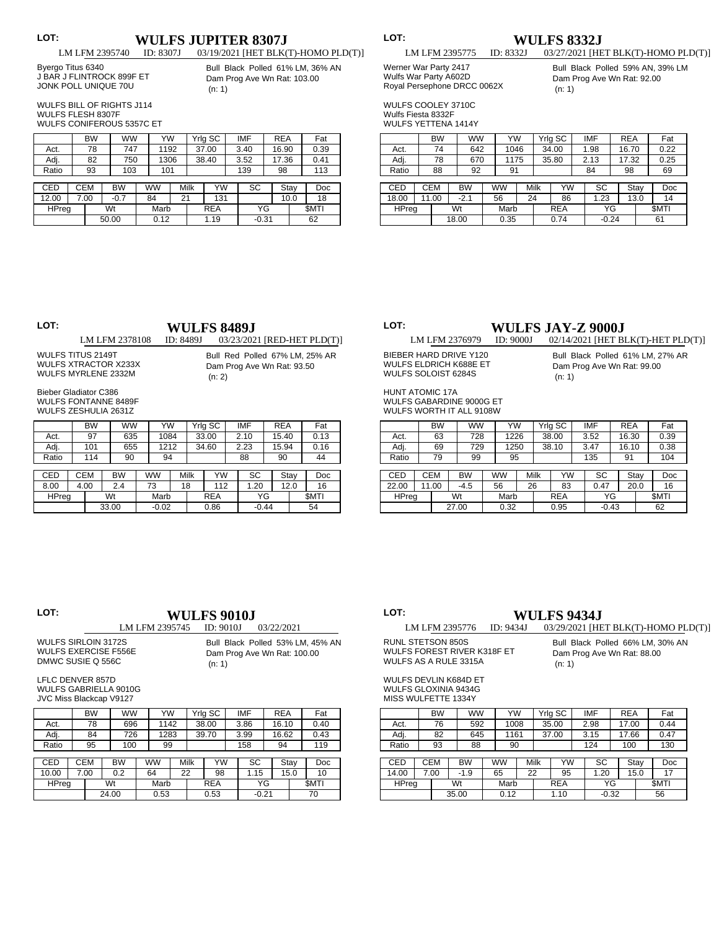# **LOT: WULFS JUPITER 8307J**<br>LM LFM 2395740 **ID:** 8307J 03/19/2021 [HET BLK(

 Byergo Titus 6340 J BAR J FLINTROCK 899F ET JONK POLL UNIQUE 70U 03/19/2021 [HET BLK(T)-HOMO PLD(T)] Bull Black Polled 61% LM, 36% AN Dam Prog Ave Wn Rat: 103.00 (n: 1)

 WULFS BILL OF RIGHTS J114 WULFS FLESH 8307F

 WULFS CONIFEROUS 5357C ET

|              |  | <b>BW</b>  | <b>WW</b> | YW        |    |      | Yrlg SC    | <b>IMF</b> | <b>REA</b> |      | Fat         |
|--------------|--|------------|-----------|-----------|----|------|------------|------------|------------|------|-------------|
| Act.         |  | 78         | 747       | 1192      |    |      | 37.00      | 3.40       | 16.90      |      | 0.39        |
| Adj.         |  | 82         | 750       | 1306      |    |      | 38.40      | 3.52       | 17.36      |      | 0.41        |
| Ratio        |  | 93         | 103       | 101       |    |      |            | 139        | 98         |      | 113         |
|              |  |            |           |           |    |      |            |            |            |      |             |
| <b>CED</b>   |  | <b>CEM</b> | <b>BW</b> | <b>WW</b> |    | Milk | YW         | SC         |            | Stay | Doc         |
| 12.00        |  | 7.00       | $-0.7$    | 84        | 21 |      | 131        |            |            | 10.0 | 18          |
| <b>HPreg</b> |  |            | Wt        | Marb      |    |      | <b>REA</b> | ΥG         |            |      | <b>SMTI</b> |
|              |  |            | 50.00     | 0.12      |    |      | 1.19       | $-0.31$    |            |      | 62          |

| ×<br>v |  |
|--------|--|
|        |  |

**LM LFM 2395775 ID: 8332J** 03/27/2021 [HE 03/27/2021 [HET BLK(T)-HOMO PLD(T)]

### Werner War Party 2417 Wulfs War Party A602D Royal Persephone DRCC 0062X

Bull Black Polled 59% AN, 39% LM Dam Prog Ave Wn Rat: 92.00 (n: 1)

 WULFS COOLEY 3710C Wulfe

| vvuits Fiesta 833∠F        |  |
|----------------------------|--|
| <b>WULFS YETTENA 1414Y</b> |  |

|              |            | <b>BW</b> |       | <b>WW</b> |      | YW        |      | Yrlg SC    |  | <b>IMF</b> | <b>REA</b> |      | Fat         |
|--------------|------------|-----------|-------|-----------|------|-----------|------|------------|--|------------|------------|------|-------------|
| Act.         |            | 74        |       | 642       |      | 1046      |      | 34.00      |  | 1.98       | 16.70      |      | 0.22        |
| Adj.         |            | 78        |       | 670       |      | 1175      |      | 35.80      |  | 2.13       | 17.32      |      | 0.25        |
| Ratio        |            | 88        |       | 92        |      | 91        |      |            |  | 84         | 98         |      | 69          |
|              |            |           |       |           |      |           |      |            |  |            |            |      |             |
| <b>CED</b>   | <b>CEM</b> |           |       | <b>BW</b> |      | <b>WW</b> | Milk | YW         |  | SC         | Stay       |      | Doc         |
| 18.00        | 11.00      |           |       | $-2.1$    |      | 56        | 24   | 86         |  | 1.23       |            | 13.0 | 14          |
| <b>HPreg</b> |            |           | Wt    |           |      | Marb      |      | <b>REA</b> |  | ΥG         |            |      | <b>SMTI</b> |
|              |            |           | 18.00 |           | 0.35 |           |      | 0.74       |  | $-0.24$    |            |      | 61          |

# **LOT: LM LFM 2378108 ID: 8489J** 03/23/202

(n: 2)

03/23/2021 [RED-HET PLD(T)]

Bull Red Polled 67% LM, 25% AR Dam Prog Ave Wn Rat: 93.50

 WULFS TITUS 2149T WULFS XTRACTOR X233X WULFS MYRLENE 2332M

 Bieber Gladiator C386 WULFS FONTANNE 8489F WILLES ZESHULIA 26317

|              | <b>BW</b>  | <b>WW</b> |         | YW        |    |      | Yrig SC    |      | IMF     | <b>REA</b> |      | Fat         |
|--------------|------------|-----------|---------|-----------|----|------|------------|------|---------|------------|------|-------------|
| Act.         | 97         | 635       |         | 1084      |    |      | 33.00      |      | 2.10    | 15.40      |      | 0.13        |
| Adj.         | 101        | 655       |         | 1212      |    |      | 34.60      | 2.23 |         | 15.94      |      | 0.16        |
| Ratio        | 114        | 90        |         | 94        |    |      |            |      | 88      | 90         |      | 44          |
|              |            |           |         |           |    |      |            |      |         |            |      |             |
| <b>CED</b>   | <b>CEM</b> | <b>BW</b> |         | <b>WW</b> |    | Milk | YW         |      | SC      |            | Stay | Doc         |
| 8.00         | 4.00       | 2.4       |         | 73        | 18 |      | 112        |      | 1.20    |            | 12.0 | 16          |
| <b>HPreg</b> |            | Wt        |         | Marb      |    |      | <b>REA</b> |      | ΥG      |            |      | <b>SMTI</b> |
|              |            | 33.00     | $-0.02$ |           |    | 0.86 |            |      | $-0.44$ |            |      | 54          |

# **LOT: WULFS JAY-Z 9000J**<br> **LM LFM 2376979 ID: 9000J** 02/14/2021 [HET B

 BIEBER HARD DRIVE Y120 WULFS ELDRICH K688E ET WULFS SOLOIST 6284S

02/14/2021 [HET BLK(T)-HET PLD(T)] Bull Black Polled 61% LM, 27% AR Dam Prog Ave Wn Rat: 99.00 (n: 1)

 HUNT ATOMIC 17A WULFS GABARDINE 9000G ET WULFS WORTH IT ALL 9108W

|              |            | <b>BW</b> | ww        | YW        |      | Yrlg SC    |  | <b>IMF</b> | <b>REA</b> |      | Fat         |
|--------------|------------|-----------|-----------|-----------|------|------------|--|------------|------------|------|-------------|
| Act.         |            | 63        | 728       | 1226      |      | 38.00      |  | 3.52       | 16.30      |      | 0.39        |
| Adj.         |            | 69        | 729       | 1250      |      | 38.10      |  | 3.47       | 16.10      |      | 0.38        |
| Ratio        |            | 79        | 99        | 95        |      |            |  | 135        | 91         |      | 104         |
|              |            |           |           |           |      |            |  |            |            |      |             |
| CED          | <b>CEM</b> |           | <b>BW</b> | <b>WW</b> | Milk | YW         |  | SC         |            | Stay | Doc         |
| 22.00        | 11.00      |           | -4.5      | 56        | 26   | 83         |  | 0.47       |            | 20.0 | 16          |
| <b>HPreg</b> |            |           | Wt        | Marb      |      | <b>REA</b> |  |            | ΥG         |      | <b>SMTI</b> |
|              |            |           | 27.00     | 0.32      |      | 0.95       |  | $-0.43$    |            |      | 62          |

| LOT:                        |                                                  | WULFS 9010.I |                                                                 |
|-----------------------------|--------------------------------------------------|--------------|-----------------------------------------------------------------|
|                             | LM LFM 2395745                                   | ID: 9010J    | 03/22/2021                                                      |
| <b>WULFS EXERCISE F556E</b> | <b>WULFS SIRLOIN 3172S</b><br>DMWC SUSIE Q 556C  | (n: 1)       | Bull Black Polled 53% LM, 45% AN<br>Dam Prog Ave Wn Rat: 100.00 |
|                             | LFLC DENVER 857D<br><b>WULFS GABRIELLA 9010G</b> |              |                                                                 |

WULF JVC Miss Blackcap V9127

|            | <b>BW</b>  | <b>WW</b> |  | YW        |    |      | Yrig SC    | IMF     | <b>REA</b> |      | Fat         |
|------------|------------|-----------|--|-----------|----|------|------------|---------|------------|------|-------------|
| Act.       | 78         | 696       |  | 1142      |    |      | 38.00      | 3.86    | 16.10      |      | 0.40        |
| Adj.       | 84         | 726       |  | 1283      |    |      | 39.70      | 3.99    | 16.62      |      | 0.43        |
| Ratio      | 95         | 100       |  | 99        |    |      |            | 158     | 94         |      | 119         |
|            |            |           |  |           |    |      |            |         |            |      |             |
| <b>CED</b> | <b>CEM</b> | <b>BW</b> |  | <b>WW</b> |    | Milk | YW         | SC      |            | Stay | Doc         |
| 10.00      | 7.00       | 0.2       |  | 64        | 22 |      | 98         | 1.15    |            | 15.0 | 10          |
| HPreg      |            | Wt        |  | Marb      |    |      | <b>REA</b> | ΥG      |            |      | <b>SMTI</b> |
|            |            | 24.00     |  | 0.53      |    | 0.53 |            | $-0.21$ |            |      | 70          |

### **LOT: WULFS 9434J**<br>**LM LFM 2395776 ID: 9434J** 03/29/2021 [HE 03/29/2021 [HET BLK(T)-HOMO PLD(T)]

 RUNL STETSON 850S WULFS FOREST RIVER K318F ET WULFS AS A RULE 3315A

Bull Black Polled 66% LM, 30% AN Dam Prog Ave Wn Rat: 88.00 (n: 1)

 WULFS DEVLIN K684D ET WULFS GLOXINIA 9434G MISS WULFETTE 1334Y

|              |    | <b>BW</b>  | <b>WW</b> | YW   |           |      |            | Yrlg SC |    | <b>IMF</b> | <b>REA</b> |             | Fat  |
|--------------|----|------------|-----------|------|-----------|------|------------|---------|----|------------|------------|-------------|------|
| Act.         |    | 76         | 592       |      |           | 1008 |            | 35.00   |    | 2.98       | 17.00      |             | 0.44 |
| Adj.         |    | 82         | 645       |      |           | 1161 |            | 37.00   |    | 3.15       | 17.66      |             | 0.47 |
| Ratio        |    | 93         | 88        |      | 90        |      |            |         |    | 124        | 100        |             | 130  |
|              |    |            |           |      |           |      |            |         |    |            |            |             |      |
| CED          |    | <b>CEM</b> | <b>BW</b> |      | <b>WW</b> |      | Milk       | YW      |    | SC         |            | Stay        | Doc  |
| 14.00        |    | 7.00       | $-1.9$    |      | 65        |      | 22         | 95      |    | 1.20       |            | 15.0        | 17   |
| <b>HPreg</b> | Wt |            |           | Marb |           |      | <b>REA</b> |         | ΥG |            |            | <b>SMTI</b> |      |
| 35.00        |    |            | 0.12      |      |           | 1.10 |            | $-0.32$ |    |            | 56         |             |      |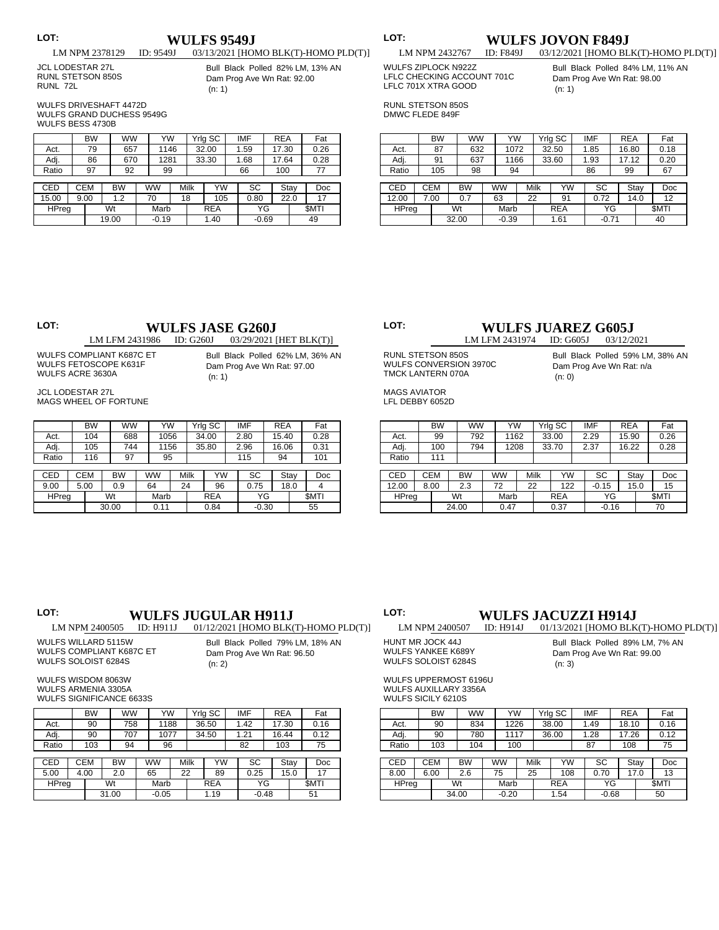## **LOT: WULFS 9549J**<br> **LM NPM 2378129 ID: 9549J** 03/13/2021 [HOI 03/13/2021 [HOMO BLK(T)-HOMO PLD(T)]

 JCL LODESTAR 27L RUNL STETSON 850S RUNL 72L

Bull Black Polled 82% LM, 13% AN Dam Prog Ave Wn Rat: 92.00 (n: 1)

 WULFS DRIVESHAFT 4472D WULFS GRAND DUCHESS 9549G WULFS BESS 4730B

|            | <b>BW</b>  | ww        | YW      |  |      | Yrig SC    |  | IMF  | <b>REA</b> |      | Fat         |
|------------|------------|-----------|---------|--|------|------------|--|------|------------|------|-------------|
| Act.       | 79         | 657       | 1146    |  |      | 32.00      |  | 1.59 | 17.30      |      | 0.26        |
| Adj.       | 86         | 670       | 1281    |  |      | 33.30      |  | 1.68 | 17.64      |      | 0.28        |
| Ratio      | 97         | 92        | 99      |  |      |            |  | 66   | 100        |      | 77          |
|            |            |           |         |  |      |            |  |      |            |      |             |
| <b>CED</b> | <b>CEM</b> | <b>BW</b> | ww      |  | Milk | YW         |  | SC   |            | Stay | Doc         |
| 15.00      | 9.00       | 1.2       | 70      |  | 18   | 105        |  | 0.80 |            | 22.0 | 17          |
| HPreg      |            | Wt        | Marb    |  |      | <b>REA</b> |  | ΥG   |            |      | <b>SMTI</b> |
|            |            | 19.00     | $-0.19$ |  |      | 1.40       |  |      | $-0.69$    |      | 49          |

|        | Ξ |  |  |
|--------|---|--|--|
| v<br>× | ٠ |  |  |
|        |   |  |  |
|        |   |  |  |
|        |   |  |  |

## **T: WULFS JOVON F849J**<br>
LM NPM 2432767 **ID: F849J** 03/12/2021 [HOMO BL

 WULFS ZIPLOCK N922Z LFLC CHECKING ACCOUNT 701C LFLC 701X XTRA GOOD

Bull Black Polled 84% LM, 11% AN Dam Prog Ave Wn Rat: 98.00 (n: 1)

03/12/2021 [HOMO BLK(T)-HOMO PLD(T)]

 RUNL STETSON 850S DMWC FLEDE 849F

|              | <b>BW</b>  |           | <b>WW</b> | YW      |    |      | Yrlg SC    | <b>IMF</b> | <b>REA</b> |      | Fat         |
|--------------|------------|-----------|-----------|---------|----|------|------------|------------|------------|------|-------------|
| Act.         | 87         |           | 632       | 1072    |    |      | 32.50      | 1.85       | 16.80      |      | 0.18        |
| Adj.         | 91         |           | 637       | 1166    |    |      | 33.60      | 1.93       | 17.12      |      | 0.20        |
| Ratio        | 105        |           | 98        | 94      |    |      |            | 86         | 99         |      | 67          |
|              |            |           |           |         |    |      |            |            |            |      |             |
| CED          | <b>CEM</b> | <b>BW</b> |           | ww      |    | Milk | YW         | SC         |            | Stay | Doc         |
| 12.00        | 7.00       | 0.7       |           | 63      | 22 |      | 91         | 0.72       |            | 14.0 | 12          |
| <b>HPreg</b> |            | Wt        |           | Marb    |    |      | <b>REA</b> | ΥG         |            |      | <b>SMTI</b> |
|              |            | 32.00     |           | $-0.39$ |    | 1.61 |            |            | $-0.71$    |      | 40          |

# **LOT: WULFS JASE G260J**<br> **LM LFM 2431986 ID: G260J** 03/29/2021

03/29/2021 [HET BLK(T)]

 WULFS COMPLIANT K687C ET WULFS FETOSCOPE K631F WULFS ACRE 3630A

Bull Black Polled 62% LM, 36% AN Dam Prog Ave Wn Rat: 97.00 (n: 1)

 JCL LODESTAR 27L MAGS WHEEL OF FORTUNE

|            |      | BW         | ww        | YW        |    |      | Yrlg SC    | <b>IMF</b> | <b>REA</b> |      | Fat         |
|------------|------|------------|-----------|-----------|----|------|------------|------------|------------|------|-------------|
| Act.       |      | 104        | 688       | 1056      |    |      | 34.00      | 2.80       | 15.40      |      | 0.28        |
| Adj.       |      | 105        | 744       | 1156      |    |      | 35.80      | 2.96       | 16.06      |      | 0.31        |
| Ratio      |      | 116        | 97        | 95        |    |      |            | 115        | 94         |      | 101         |
|            |      |            |           |           |    |      |            |            |            |      |             |
| <b>CED</b> |      | <b>CEM</b> | <b>BW</b> | <b>WW</b> |    | Milk | YW         | SC         | Stay       |      | Doc         |
| 9.00       | 5.00 |            | 0.9       | 64        | 24 |      | 96         | 0.75       |            | 18.0 | 4           |
| HPreg      |      |            | Wt        | Marb      |    |      | <b>REA</b> | ΥG         |            |      | <b>SMTI</b> |
|            |      |            | 30.00     | 0.11      |    |      | 0.84       | $-0.30$    |            |      | 55          |

### **LOT: WULFS JUAREZ G605J**<br> **LM LFM 2431974 ID: G605J** 03/12/2021 LM LFM 2431974 ID: G605J

 RUNL STETSON 850S WULFS CONVERSION 3970C TMCK LANTERN 070A

 MAGS AVIATOR LFL DEBBY 6052D

|              |       | <b>BW</b> |      | <b>WW</b> |          | YW         | Yrlg SC |         |      | <b>IMF</b> | <b>REA</b> |             | Fat  |  |
|--------------|-------|-----------|------|-----------|----------|------------|---------|---------|------|------------|------------|-------------|------|--|
| Act.         |       | 99        | 792  |           | 1162     |            |         | 33.00   | 2.29 |            | 15.90      |             | 0.26 |  |
| Adj.         |       | 100       | 794  | 1208      |          |            |         | 33.70   |      | 2.37       | 16.22      |             | 0.28 |  |
| Ratio        |       | 111       |      |           |          |            |         |         |      |            |            |             |      |  |
|              |       |           |      |           |          |            |         |         |      |            |            |             |      |  |
| CED          |       | CEM       | BW   | <b>WW</b> |          |            | Milk    | YW      |      | SC         |            | Stay        | Doc  |  |
| 12.00        |       | 8.00      | 2.3  |           | 72<br>22 |            |         | 122     |      | $-0.15$    |            | 15.0        | 15   |  |
| <b>HPreg</b> |       | Wt        | Marb |           |          | <b>REA</b> |         |         | YG   |            |            | <b>SMTI</b> |      |  |
|              | 24.00 |           | 0.47 |           |          | 0.37       |         | $-0.16$ |      |            | 70         |             |      |  |

(n: 0)

# LOT: **WULFS JUGULAR H911J**<br>LM NPM 2400505 **ID: H911J** 01/12/2021 [HOMO BLK

Bull Black Polled 79% LM, 18% AN Dam Prog Ave Wn Rat: 96.50

**LOT: WULFS JACUZZI H914J**<br>
LM NPM 2400507 **D:** H914J 01/13/2021 [HOMO BLK 01/13/2021 [HOMO BLK(T)-HOMO PLD(T)]

 WULFS WILLARD 5115W WULFS COMPLIANT K687C ET

(n: 2)

| HUNT MR JOCK 44J          |
|---------------------------|
| <b>WULFS YANKEE K689Y</b> |
| WULFS SOLOIST 6284S       |
|                           |

Bull Black Polled 89% LM, 7% AN Dam Prog Ave Wn Rat: 99.00 (n: 3)

Bull Black Polled 59% LM, 38% AN Dam Prog Ave Wn Rat: n/a

 WULFS UPPERMOST 6196U WULFS AUXILLARY 3356A WULFS SICILY 6210S

|            |             | <b>BW</b> | <b>WW</b> |         | YW   |      | Yrlg SC    |       |      | IMF     | <b>REA</b> |      | Fat         |
|------------|-------------|-----------|-----------|---------|------|------|------------|-------|------|---------|------------|------|-------------|
| Act.       |             | 90        |           | 834     |      | 1226 |            | 38.00 |      | 1.49    | 18.10      |      | 0.16        |
| Adj.       |             | 90        | 780       |         | 1117 |      | 36.00      |       | 1.28 |         | 17.26      |      | 0.12        |
| Ratio      |             | 103       | 104       |         | 100  |      |            |       |      | 87      | 108        |      | 75          |
|            |             |           |           |         |      |      |            |       |      |         |            |      |             |
| <b>CED</b> | <b>CEM</b>  |           | BW        |         | WW   |      | Milk       | YW    |      | SC      |            | Stay | Doc         |
| 8.00       | 6.00        |           | 2.6       |         | 75   |      | 25         | 108   |      | 0.70    |            | 17.0 | 13          |
|            | HPreg<br>Wt |           |           | Marb    |      |      | <b>REA</b> |       |      |         | YG         |      | <b>SMTI</b> |
|            | 34.00       |           |           | $-0.20$ |      |      | 1.54       |       |      | $-0.68$ |            |      | 50          |

## 01/12/2021 [HOMO BLK(T)-HOMO PLD(T)]

 WULFS SOLOIST 6284S

 WULFS WISDOM 8063W WULFS ARMENIA 3305A WULFS SIGNIFICANCE 6633S

|              |            | <b>BW</b> | <b>WW</b> |         | YW        |      |       | Yrig SC    |      | IMF     | <b>REA</b> |      | Fat         |
|--------------|------------|-----------|-----------|---------|-----------|------|-------|------------|------|---------|------------|------|-------------|
| Act.         |            | 90        | 758       |         |           | 1188 |       | 36.50      |      | 1.42    | 17.30      |      | 0.16        |
| Adj.         |            | 90        |           | 707     |           | 1077 | 34.50 |            |      | 1.21    | 16.44      |      | 0.12        |
| Ratio        |            | 103       | 94        |         | 96        |      |       |            |      | 82      | 103        |      | 75          |
|              |            |           |           |         |           |      |       |            |      |         |            |      |             |
| <b>CED</b>   | <b>CEM</b> |           | <b>BW</b> |         | <b>WW</b> | Milk |       | YW         |      | SC      |            | Stay | Doc         |
| 5.00         | 4.00       |           | 2.0       |         | 65        | 22   | 89    |            | 0.25 |         |            | 15.0 | 17          |
| <b>HPreg</b> |            |           | Wt        |         | Marb      |      |       | <b>REA</b> |      | ΥG      |            |      | <b>SMTI</b> |
|              |            |           | 31.00     | $-0.05$ |           |      |       | 1.19       |      | $-0.48$ |            |      | 51          |